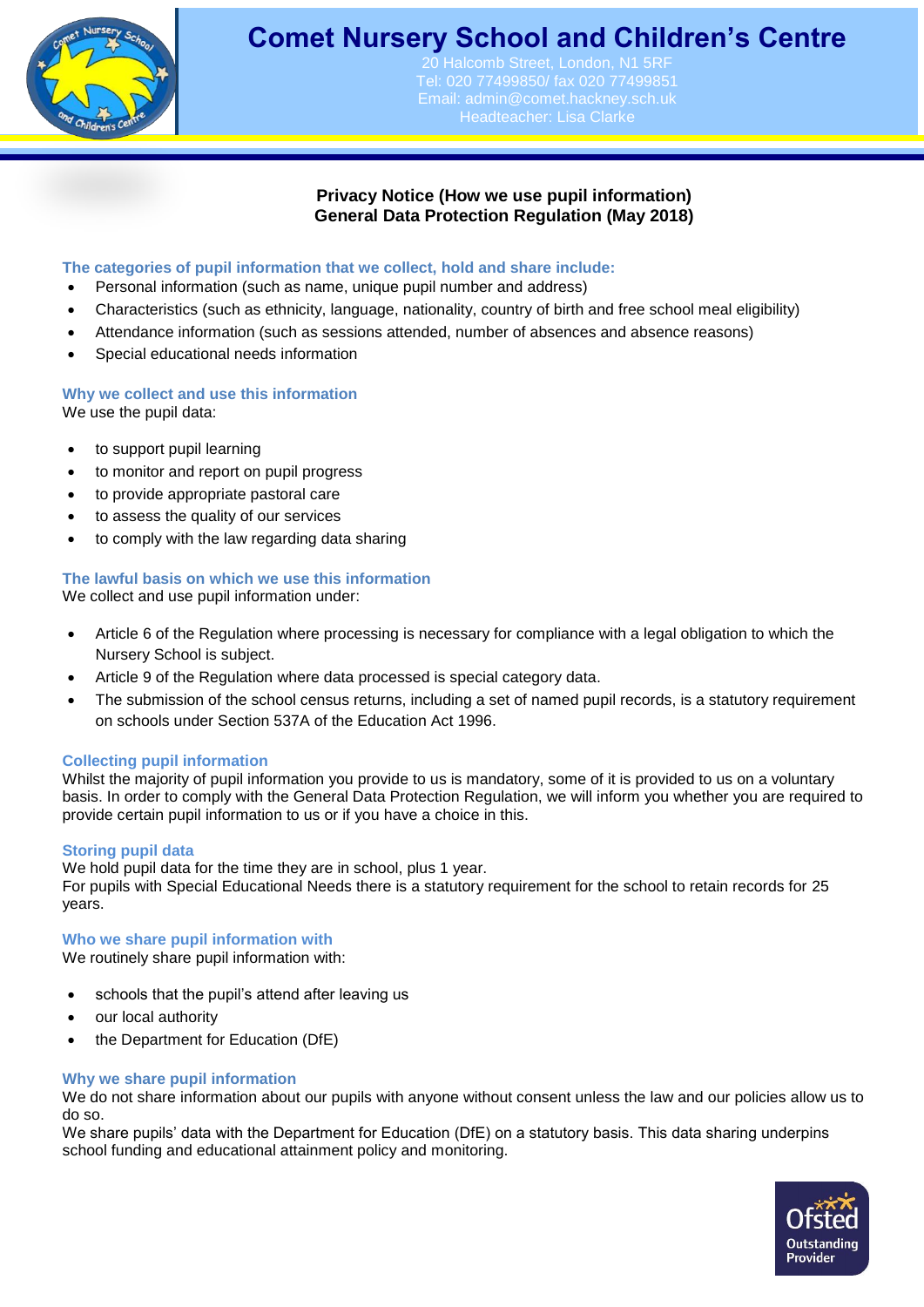

# **Comet Nursery School and Children's Centre**

alcomb Street, London, N1 5RF Tel: 020 77499850/ fax 020 77499851 Email: [admin@comet.hackney.sch.uk](mailto:admin@comet.hackney.sch.uk) Headteacher: Lisa Clarke

# **Privacy Notice (How we use pupil information) General Data Protection Regulation (May 2018)**

# **The categories of pupil information that we collect, hold and share include:**

- Personal information (such as name, unique pupil number and address)
- Characteristics (such as ethnicity, language, nationality, country of birth and free school meal eligibility)
- Attendance information (such as sessions attended, number of absences and absence reasons)
- Special educational needs information

# **Why we collect and use this information**

We use the pupil data:

- to support pupil learning
- to monitor and report on pupil progress
- to provide appropriate pastoral care
- to assess the quality of our services
- to comply with the law regarding data sharing

# **The lawful basis on which we use this information**

We collect and use pupil information under:

- Article 6 of the Regulation where processing is necessary for compliance with a legal obligation to which the Nursery School is subject.
- Article 9 of the Regulation where data processed is special category data.
- The submission of the school census returns, including a set of named pupil records, is a statutory requirement on schools under Section 537A of the Education Act 1996.

#### **Collecting pupil information**

Whilst the majority of pupil information you provide to us is mandatory, some of it is provided to us on a voluntary basis. In order to comply with the General Data Protection Regulation, we will inform you whether you are required to provide certain pupil information to us or if you have a choice in this.

#### **Storing pupil data**

We hold pupil data for the time they are in school, plus 1 year. For pupils with Special Educational Needs there is a statutory requirement for the school to retain records for 25 years.

#### **Who we share pupil information with**

We routinely share pupil information with:

- schools that the pupil's attend after leaving us
- our local authority
- the Department for Education (DfE)

#### **Why we share pupil information**

We do not share information about our pupils with anyone without consent unless the law and our policies allow us to do so.

We share pupils' data with the Department for Education (DfE) on a statutory basis. This data sharing underpins school funding and educational attainment policy and monitoring.